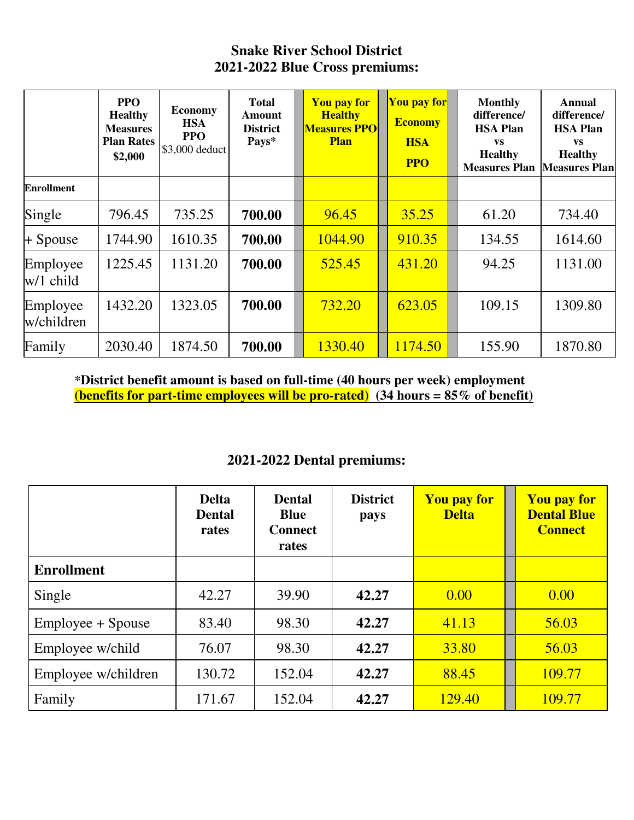## **Snake River School District 2021-2022 Blue Cross premiums:**

|                         | <b>PPO</b><br><b>Healthy</b><br><b>Measures</b><br><b>Plan Rates</b><br>\$2,000 | <b>Economy</b><br><b>HSA</b><br><b>PPO</b><br>\$3,000 deduct | <b>Total</b><br>Amount<br><b>District</b><br>Pays* | <b>You pay for</b><br><b>Healthy</b><br><b>Measures PPO</b><br><b>Plan</b> | You pay for<br><b>Economy</b><br><b>HSA</b><br><b>PPO</b> | <b>Monthly</b><br>difference/<br><b>HSA Plan</b><br><b>VS</b><br><b>Healthy</b> | Annual<br>difference/<br><b>HSA Plan</b><br><b>VS</b><br><b>Healthy</b><br><b>Measures Plan   Measures Plan</b> |
|-------------------------|---------------------------------------------------------------------------------|--------------------------------------------------------------|----------------------------------------------------|----------------------------------------------------------------------------|-----------------------------------------------------------|---------------------------------------------------------------------------------|-----------------------------------------------------------------------------------------------------------------|
| <b>Enrollment</b>       |                                                                                 |                                                              |                                                    |                                                                            |                                                           |                                                                                 |                                                                                                                 |
| Single                  | 796.45                                                                          | 735.25                                                       | 700.00                                             | 96.45                                                                      | 35.25                                                     | 61.20                                                                           | 734.40                                                                                                          |
| $+$ Spouse              | 1744.90                                                                         | 1610.35                                                      | 700.00                                             | 1044.90                                                                    | 910.35                                                    | 134.55                                                                          | 1614.60                                                                                                         |
| Employee<br>$w/1$ child | 1225.45                                                                         | 1131.20                                                      | 700.00                                             | 525.45                                                                     | 431.20                                                    | 94.25                                                                           | 1131.00                                                                                                         |
| Employee<br>w/children  | 1432.20                                                                         | 1323.05                                                      | 700.00                                             | 732.20                                                                     | 623.05                                                    | 109.15                                                                          | 1309.80                                                                                                         |
| Family                  | 2030.40                                                                         | 1874.50                                                      | 700.00                                             | 1330.40                                                                    | 1174.50                                                   | 155.90                                                                          | 1870.80                                                                                                         |

**\*District benefit amount is based on full-time (40 hours per week) employment (benefits for part-time employees will be pro-rated) (34 hours = 85% of benefit)**

## **2021-2022 Dental premiums:**

|                     | <b>Delta</b><br><b>Dental</b><br>rates | <b>Dental</b><br><b>Blue</b><br><b>Connect</b><br>rates | <b>District</b><br>pays | <b>You pay for</b><br><b>Delta</b> | <b>You pay for</b><br><b>Dental Blue</b><br><b>Connect</b> |
|---------------------|----------------------------------------|---------------------------------------------------------|-------------------------|------------------------------------|------------------------------------------------------------|
| <b>Enrollment</b>   |                                        |                                                         |                         |                                    |                                                            |
| Single              | 42.27                                  | 39.90                                                   | 42.27                   | 0.00                               | 0.00                                                       |
| Employee + Spouse   | 83.40                                  | 98.30                                                   | 42.27                   | 41.13                              | 56.03                                                      |
| Employee w/child    | 76.07                                  | 98.30                                                   | 42.27                   | 33.80                              | 56.03                                                      |
| Employee w/children | 130.72                                 | 152.04                                                  | 42.27                   | 88.45                              | 109.77                                                     |
| Family              | 171.67                                 | 152.04                                                  | 42.27                   | 129.40                             | 109.77                                                     |